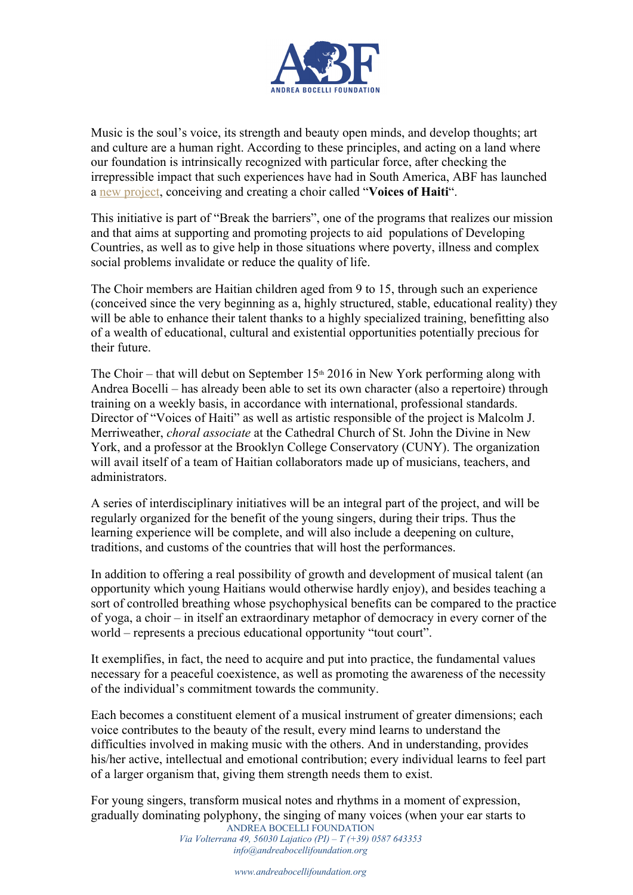

Music is the soul's voice, its strength and beauty open minds, and develop thoughts; art and culture are a human right. According to these principles, and acting on a land where our foundation is intrinsically recognized with particular force, after checking the irrepressible impact that such experiences have had in South America, ABF has launched a new project, conceiving and creating a choir called "**Voices of Haiti**".

This initiative is part of "Break the barriers", one of the programs that realizes our mission and that aims at supporting and promoting projects to aid populations of Developing Countries, as well as to give help in those situations where poverty, illness and complex social problems invalidate or reduce the quality of life.

The Choir members are Haitian children aged from 9 to 15, through such an experience (conceived since the very beginning as a, highly structured, stable, educational reality) they will be able to enhance their talent thanks to a highly specialized training, benefitting also of a wealth of educational, cultural and existential opportunities potentially precious for their future.

The Choir – that will debut on September  $15<sup>th</sup> 2016$  in New York performing along with Andrea Bocelli – has already been able to set its own character (also a repertoire) through training on a weekly basis, in accordance with international, professional standards. Director of "Voices of Haiti" as well as artistic responsible of the project is Malcolm J. Merriweather, *choral associate* at the Cathedral Church of St. John the Divine in New York, and a professor at the Brooklyn College Conservatory (CUNY). The organization will avail itself of a team of Haitian collaborators made up of musicians, teachers, and administrators.

A series of interdisciplinary initiatives will be an integral part of the project, and will be regularly organized for the benefit of the young singers, during their trips. Thus the learning experience will be complete, and will also include a deepening on culture, traditions, and customs of the countries that will host the performances.

In addition to offering a real possibility of growth and development of musical talent (an opportunity which young Haitians would otherwise hardly enjoy), and besides teaching a sort of controlled breathing whose psychophysical benefits can be compared to the practice of yoga, a choir – in itself an extraordinary metaphor of democracy in every corner of the world – represents a precious educational opportunity "tout court".

It exemplifies, in fact, the need to acquire and put into practice, the fundamental values necessary for a peaceful coexistence, as well as promoting the awareness of the necessity of the individual's commitment towards the community.

Each becomes a constituent element of a musical instrument of greater dimensions; each voice contributes to the beauty of the result, every mind learns to understand the difficulties involved in making music with the others. And in understanding, provides his/her active, intellectual and emotional contribution; every individual learns to feel part of a larger organism that, giving them strength needs them to exist.

ANDREA BOCELLI FOUNDATION For young singers, transform musical notes and rhythms in a moment of expression, gradually dominating polyphony, the singing of many voices (when your ear starts to

*Via Volterrana 49, 56030 Lajatico (PI) – T (+39) 0587 643353 info@andreabocellifoundation.org*